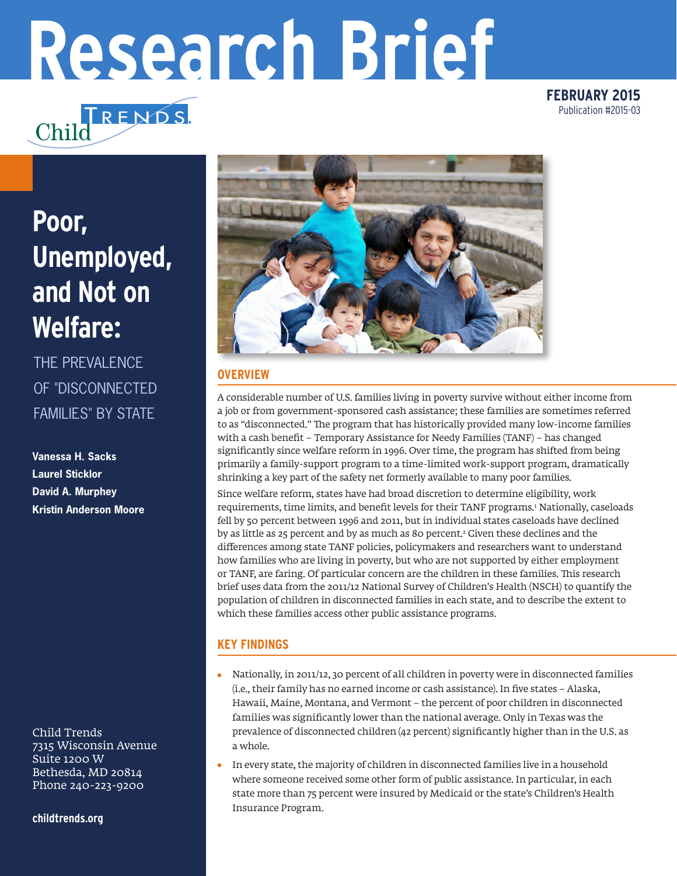# **Research Brief**

**FEBRUARY 2015** Publication #2015-03

# **Poor, Unemployed, and Not on Welfare:**

Chilc

TRENDS.

THE PREVALENCE OF "DISCONNECTED FAMILIES" BY STATE

**Vanessa H. Sacks Laurel Sticklor David A. Murphey Kristin Anderson Moore**

Child Trends 7315 Wisconsin Avenue Suite 1200 W Bethesda, MD 20814 Phone 240-223-9200

**childtrends.org**



### **OVERVIEW**

A considerable number of U.S. families living in poverty survive without either income from a job or from government-sponsored cash assistance; these families are sometimes referred to as "disconnected." The program that has historically provided many low-income families with a cash benefit – Temporary Assistance for Needy Families (TANF) – has changed significantly since welfare reform in 1996. Over time, the program has shifted from being primarily a family-support program to a time-limited work-support program, dramatically shrinking a key part of the safety net formerly available to many poor families.

Since welfare reform, states have had broad discretion to determine eligibility, work requirements, time limits, and benefit levels for their TANF programs.1 Nationally, caseloads fell by 50 percent between 1996 and 2011, but in individual states caseloads have declined by as little as 25 percent and by as much as 80 percent.<sup>2</sup> Given these declines and the differences among state TANF policies, policymakers and researchers want to understand how families who are living in poverty, but who are not supported by either employment or TANF, are faring. Of particular concern are the children in these families. This research brief uses data from the 2011/12 National Survey of Children's Health (NSCH) to quantify the population of children in disconnected families in each state, and to describe the extent to which these families access other public assistance programs.

## **KEY FINDINGS**

- Nationally, in 2011/12, 30 percent of all children in poverty were in disconnected families (i.e., their family has no earned income or cash assistance). In five states – Alaska, Hawaii, Maine, Montana, and Vermont – the percent of poor children in disconnected families was significantly lower than the national average. Only in Texas was the prevalence of disconnected children (42 percent) significantly higher than in the U.S. as a whole.
- $\bullet$ In every state, the majority of children in disconnected families live in a household where someone received some other form of public assistance. In particular, in each state more than 75 percent were insured by Medicaid or the state's Children's Health Insurance Program.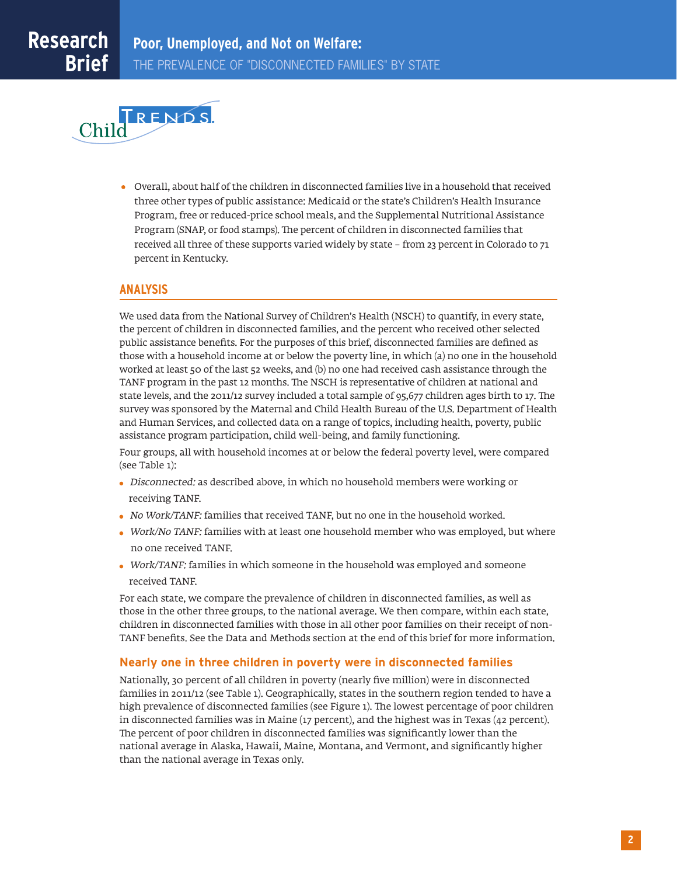

Overall, about half of the children in disconnected families live in a household that received three other types of public assistance: Medicaid or the state's Children's Health Insurance Program, free or reduced-price school meals, and the Supplemental Nutritional Assistance Program (SNAP, or food stamps). The percent of children in disconnected families that received all three of these supports varied widely by state – from 23 percent in Colorado to 71 percent in Kentucky.

#### **ANALYSIS**

We used data from the National Survey of Children's Health (NSCH) to quantify, in every state, the percent of children in disconnected families, and the percent who received other selected public assistance benefits. For the purposes of this brief, disconnected families are defined as those with a household income at or below the poverty line, in which (a) no one in the household worked at least 50 of the last 52 weeks, and (b) no one had received cash assistance through the TANF program in the past 12 months. The NSCH is representative of children at national and state levels, and the 2011/12 survey included a total sample of 95,677 children ages birth to 17. The survey was sponsored by the Maternal and Child Health Bureau of the U.S. Department of Health and Human Services, and collected data on a range of topics, including health, poverty, public assistance program participation, child well-being, and family functioning.

Four groups, all with household incomes at or below the federal poverty level, were compared (see Table 1):

- Disconnected: as described above, in which no household members were working or receiving TANF.
- No Work/TANF: families that received TANF, but no one in the household worked.
- Work/No TANF: families with at least one household member who was employed, but where no one received TANF.
- Work/TANF: families in which someone in the household was employed and someone received TANF.

For each state, we compare the prevalence of children in disconnected families, as well as those in the other three groups, to the national average. We then compare, within each state, children in disconnected families with those in all other poor families on their receipt of non-TANF benefits. See the Data and Methods section at the end of this brief for more information.

#### **Nearly one in three children in poverty were in disconnected families**

Nationally, 30 percent of all children in poverty (nearly five million) were in disconnected families in 2011/12 (see Table 1). Geographically, states in the southern region tended to have a high prevalence of disconnected families (see Figure 1). The lowest percentage of poor children in disconnected families was in Maine (17 percent), and the highest was in Texas (42 percent). The percent of poor children in disconnected families was significantly lower than the national average in Alaska, Hawaii, Maine, Montana, and Vermont, and significantly higher than the national average in Texas only.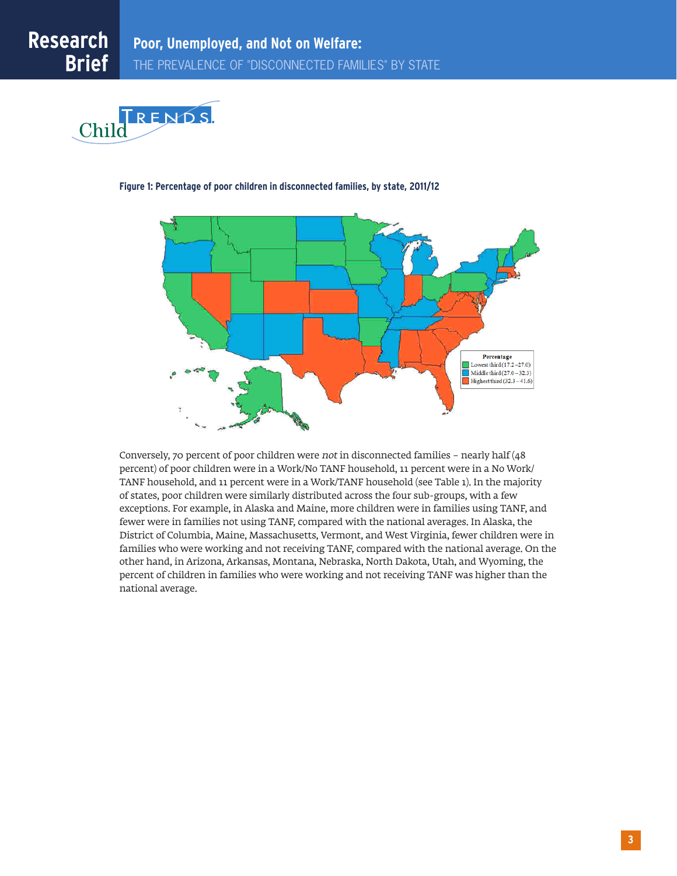



#### **Figure 1: Percentage of poor children in disconnected families, by state, 2011/12**

Conversely, 70 percent of poor children were not in disconnected families – nearly half (48 percent) of poor children were in a Work/No TANF household, 11 percent were in a No Work/ TANF household, and 11 percent were in a Work/TANF household (see Table 1). In the majority of states, poor children were similarly distributed across the four sub-groups, with a few exceptions. For example, in Alaska and Maine, more children were in families using TANF, and fewer were in families not using TANF, compared with the national averages. In Alaska, the District of Columbia, Maine, Massachusetts, Vermont, and West Virginia, fewer children were in families who were working and not receiving TANF, compared with the national average. On the other hand, in Arizona, Arkansas, Montana, Nebraska, North Dakota, Utah, and Wyoming, the percent of children in families who were working and not receiving TANF was higher than the national average.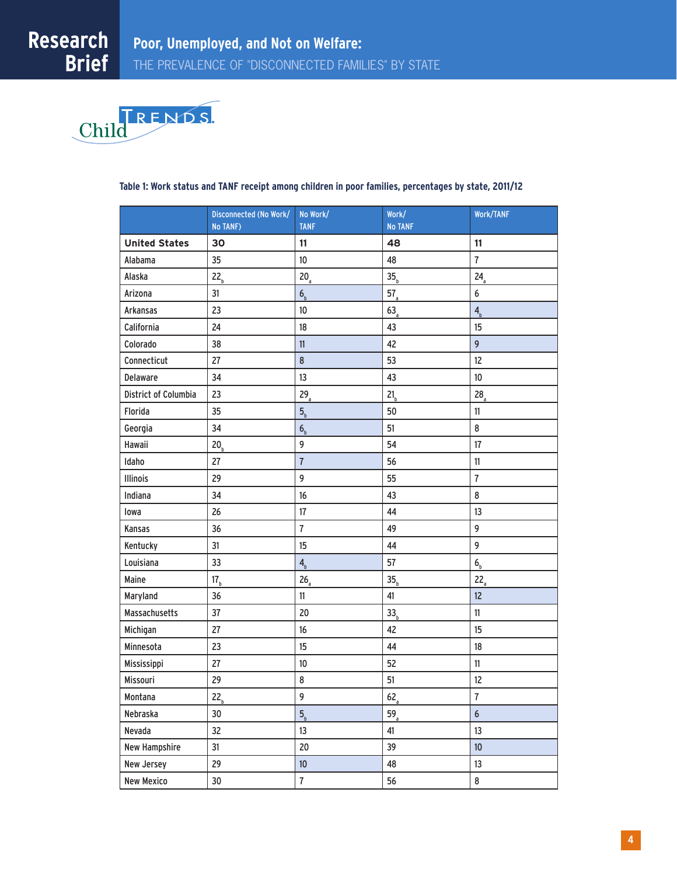

|                      | Disconnected (No Work/<br><b>No TANF)</b> | No Work/<br><b>TANF</b>   | Work/<br><b>No TANF</b> | Work/TANF                 |
|----------------------|-------------------------------------------|---------------------------|-------------------------|---------------------------|
| <b>United States</b> | 30                                        | 11                        | 48                      | 11                        |
| Alabama              | 35                                        | 10 <sup>°</sup>           | 48                      | $\overline{7}$            |
| Alaska               | 22 <sub>b</sub>                           | $20_a$                    | 35 <sub>b</sub>         | 24 <sub>a</sub>           |
| Arizona              | 31                                        | 6 <sub>b</sub>            | $57_a$                  | 6                         |
| Arkansas             | 23                                        | 10                        | 63 <sub>a</sub>         | $\mathbf{4}_{\mathrm{b}}$ |
| California           | 24                                        | 18                        | 43                      | 15                        |
| Colorado             | 38                                        | 11                        | 42                      | 9                         |
| Connecticut          | 27                                        | $\bf 8$                   | 53                      | 12                        |
| Delaware             | 34                                        | 13                        | 43                      | 10 <sup>°</sup>           |
| District of Columbia | 23                                        | $29_a$                    | 21 <sub>b</sub>         | 28 <sub>a</sub>           |
| Florida              | 35                                        | 5 <sub>b</sub>            | 50                      | 11                        |
| Georgia              | 34                                        | 6 <sub>b</sub>            | 51                      | 8                         |
| Hawaii               | 20 <sub>b</sub>                           | 9                         | 54                      | 17                        |
| Idaho                | 27                                        | $\overline{7}$            | 56                      | 11                        |
| Illinois             | 29                                        | 9                         | 55                      | $\overline{7}$            |
| Indiana              | 34                                        | 16                        | 43                      | 8                         |
| lowa                 | 26                                        | 17                        | 44                      | 13                        |
| Kansas               | 36                                        | $\overline{1}$            | 49                      | 9                         |
| Kentucky             | 31                                        | 15                        | 44                      | 9                         |
| Louisiana            | 33                                        | $\mathbf{4}_{\mathrm{b}}$ | 57                      | 6 <sub>b</sub>            |
| Maine                | 17 <sub>b</sub>                           | $26_a$                    | 35 <sub>b</sub>         | $22_a$                    |
| Maryland             | 36                                        | 11                        | 41                      | 12                        |
| Massachusetts        | 37                                        | $20\,$                    | 33 <sub>b</sub>         | 11                        |
| Michigan             | 27                                        | 16                        | 42                      | 15                        |
| Minnesota            | 23                                        | 15                        | 44                      | 18                        |
| Mississippi          | 27                                        | 10                        | 52                      | 11                        |
| Missouri             | 29                                        | 8                         | 51                      | 12                        |
| Montana              | 22 <sub>h</sub>                           | 9                         | 62 <sub>a</sub>         | $\overline{1}$            |
| Nebraska             | 30                                        | 5 <sub>b</sub>            | 59 <sub>a</sub>         | $\boldsymbol{6}$          |
| Nevada               | 32                                        | 13                        | 41                      | 13                        |
| <b>New Hampshire</b> | 31                                        | $20\,$                    | 39                      | 10 <sup>°</sup>           |
| New Jersey           | 29                                        | 10 <sup>°</sup>           | 48                      | 13                        |
| <b>New Mexico</b>    | 30 <sup>°</sup>                           | $\overline{7}$            | 56                      | 8                         |

#### **Table 1: Work status and TANF receipt among children in poor families, percentages by state, 2011/12**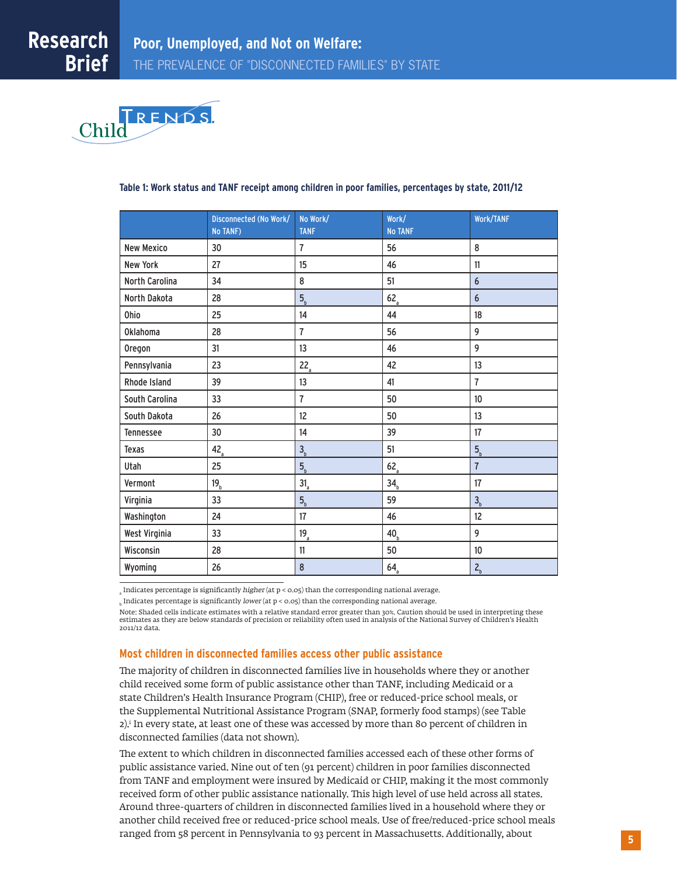

#### Disconnected (No Work/ No TANF) No Work/ TANF Work/ No TANF Work/TANF New Mexico | 30 | 7 | 56 | 8 New York 127 15 16 11 North Carolina | 34 | 8 | 51 | 6 North Dakota  $\begin{array}{|c|c|c|c|c|}\n\hline\n8 & 5 & 62 & 62 \\
\hline\n\end{array}$ Ohio | 25 | 14 | 44 | 18 Oklahoma | 28 | 7 | 56 | 9 Oregon 31 13 46 9 Pennsylvania  $\begin{vmatrix} 23 & 22 \end{vmatrix}$  22,  $\begin{vmatrix} 42 & 13 \end{vmatrix}$ Rhode Island 39 13 41 7 South Carolina  $\begin{array}{ccc} 33 & 17 & 50 \\ 33 & 50 & 50 \\ \end{array}$ South Dakota | 26 | 12 | 50 | 13 Tennessee 30 14 39 17 Texas  $42<sub>a</sub>$   $3<sub>b</sub>$  51 5 Utah  $25$  5<sub>b</sub> 62<sub>a</sub> 7 Vermont  $19_b$   $31_a$   $34_b$   $17$ Virginia  $33$   $5<sub>b</sub>$  59 3 Washington 24 17 46 12 West Virginia  $\begin{array}{|c|c|c|c|c|}\hline \end{array}$  33  $\begin{array}{|c|c|c|c|}\hline \end{array}$  40<sub>b</sub>  $\begin{array}{|c|c|c|}\hline \end{array}$  9 Wisconsin | 28 | 11 | 50 | 10 Wyoming  $\begin{array}{|c|c|c|c|c|}\n\hline\n8&\text{64}_{\color{red}a}&\text{7}_{\color{red}b}&\text{2}_{\color{red}b}&\text{2}_{\color{red}b}&\text{2}_{\color{red}b}&\text{2}_{\color{red}b}&\text{2}_{\color{red}b}&\text{2}_{\color{red}b}&\text{2}_{\color{red}b}&\text{2}_{\color{red}b}&\text{2}_{\color{red}b}&\text{2}_{\color{red}b}&\text{2}_{\color{red}b}&\text{2}_{\color{red}b}&\text{2}_{\color{red}b}&\text{2}_{\color$

#### **Table 1: Work status and TANF receipt among children in poor families, percentages by state, 2011/12**

 $_{\rm a}$  Indicates percentage is significantly *higher* (at p < 0.05) than the corresponding national average.

 $_{\textrm{\tiny{b}}}$  Indicates percentage is significantly *lower* (at p < 0.05) than the corresponding national average.

Note; Shaded cells indicate estimates with a relative standard error greater than 30%. Caution should be used in interpreting these<br>estimates as they are below standards of precision or reliability often used in analysis o 2011/12 data.

#### **Most children in disconnected families access other public assistance**

The majority of children in disconnected families live in households where they or another child received some form of public assistance other than TANF, including Medicaid or a state Children's Health Insurance Program (CHIP), free or reduced-price school meals, or the Supplemental Nutritional Assistance Program (SNAP, formerly food stamps) (see Table 2).i In every state, at least one of these was accessed by more than 80 percent of children in disconnected families (data not shown).

The extent to which children in disconnected families accessed each of these other forms of public assistance varied. Nine out of ten (91 percent) children in poor families disconnected from TANF and employment were insured by Medicaid or CHIP, making it the most commonly received form of other public assistance nationally. This high level of use held across all states. Around three-quarters of children in disconnected families lived in a household where they or another child received free or reduced-price school meals. Use of free/reduced-price school meals ranged from 58 percent in Pennsylvania to 93 percent in Massachusetts. Additionally, about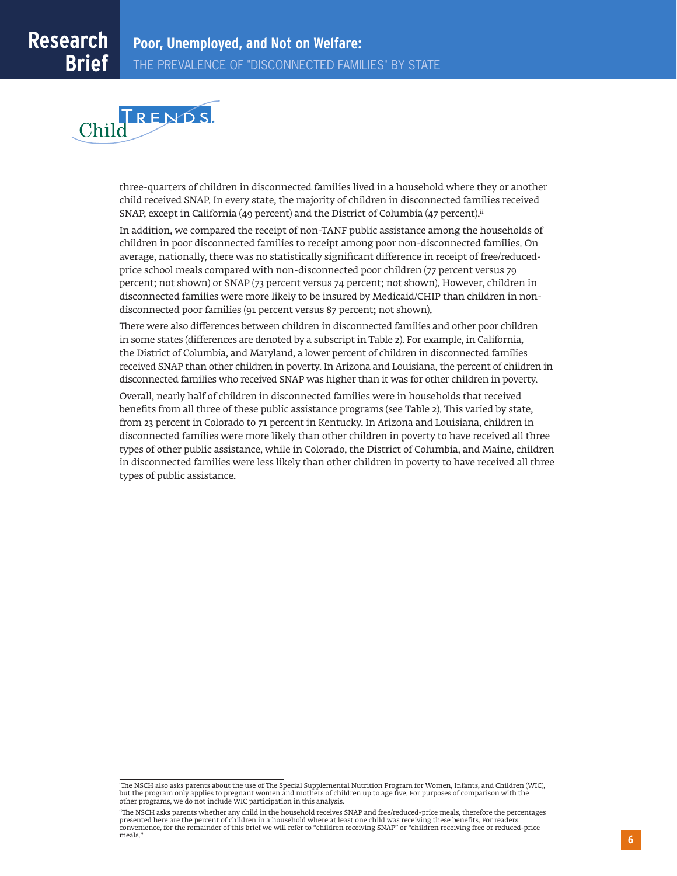

three-quarters of children in disconnected families lived in a household where they or another child received SNAP. In every state, the majority of children in disconnected families received SNAP, except in California (49 percent) and the District of Columbia (47 percent).<sup>ii</sup>

In addition, we compared the receipt of non-TANF public assistance among the households of children in poor disconnected families to receipt among poor non-disconnected families. On average, nationally, there was no statistically significant difference in receipt of free/reducedprice school meals compared with non-disconnected poor children (77 percent versus 79 percent; not shown) or SNAP (73 percent versus 74 percent; not shown). However, children in disconnected families were more likely to be insured by Medicaid/CHIP than children in nondisconnected poor families (91 percent versus 87 percent; not shown).

There were also differences between children in disconnected families and other poor children in some states (differences are denoted by a subscript in Table 2). For example, in California, the District of Columbia, and Maryland, a lower percent of children in disconnected families received SNAP than other children in poverty. In Arizona and Louisiana, the percent of children in disconnected families who received SNAP was higher than it was for other children in poverty.

Overall, nearly half of children in disconnected families were in households that received benefits from all three of these public assistance programs (see Table 2). This varied by state, from 23 percent in Colorado to 71 percent in Kentucky. In Arizona and Louisiana, children in disconnected families were more likely than other children in poverty to have received all three types of other public assistance, while in Colorado, the District of Columbia, and Maine, children in disconnected families were less likely than other children in poverty to have received all three types of public assistance.

i The NSCH also asks parents about the use of The Special Supplemental Nutrition Program for Women, Infants, and Children (WIC), but the program only applies to pregnant women and mothers of children up to age five. For purposes of comparison with the other programs, we do not include WIC participation in this analysis.

iiThe NSCH asks parents whether any child in the household receives SNAP and free/reduced-price meals, therefore the percentages presented here are the percent of children in a household where at least one child was receiving these benefits. For readers' convenience, for the remainder of this brief we will refer to "children receiving SNAP" or "children receiving free or reduced-price meals."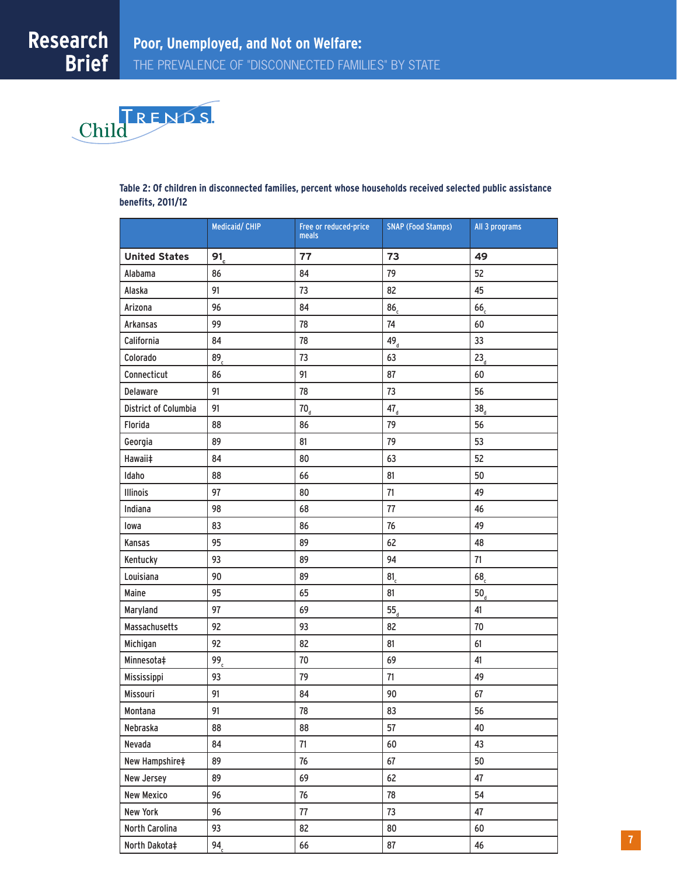

#### **Table 2: Of children in disconnected families, percent whose households received selected public assistance benefits, 2011/12**

|                      | Medicaid/ CHIP  | Free or reduced-price<br>meals | <b>SNAP (Food Stamps)</b> | All 3 programs  |
|----------------------|-----------------|--------------------------------|---------------------------|-----------------|
| <b>United States</b> | 91 <sub>c</sub> | 77                             | 73                        | 49              |
| Alabama              | 86              | 84                             | 79                        | 52              |
| Alaska               | 91              | 73                             | 82                        | 45              |
| Arizona              | 96              | 84                             | 86 <sub>c</sub>           | 66,             |
| Arkansas             | 99              | 78                             | 74                        | 60              |
| California           | 84              | 78                             | $49_d$                    | 33              |
| Colorado             | 89 <sub>c</sub> | 73                             | 63                        | 23 <sub>d</sub> |
| Connecticut          | 86              | 91                             | 87                        | 60              |
| Delaware             | 91              | 78                             | 73                        | 56              |
| District of Columbia | 91              | 70 <sub>d</sub>                | $47_{d}$                  | 38 <sub>d</sub> |
| Florida              | 88              | 86                             | 79                        | 56              |
| Georgia              | 89              | 81                             | 79                        | 53              |
| Hawaii‡              | 84              | 80                             | 63                        | 52              |
| Idaho                | 88              | 66                             | 81                        | 50              |
| Illinois             | 97              | 80                             | 71                        | 49              |
| Indiana              | 98              | 68                             | 77                        | 46              |
| lowa                 | 83              | 86                             | 76                        | 49              |
| Kansas               | 95              | 89                             | 62                        | 48              |
| Kentucky             | 93              | 89                             | 94                        | 71              |
| Louisiana            | 90              | 89                             | 81 <sub>c</sub>           | 68 <sub>c</sub> |
| Maine                | 95              | 65                             | 81                        | 50 <sub>d</sub> |
| Maryland             | 97              | 69                             | $55_{d}$                  | 41              |
| Massachusetts        | 92              | 93                             | 82                        | 70              |
| Michigan             | 92              | 82                             | 81                        | 61              |
| Minnesota‡           | 99 <sub>c</sub> | 70                             | 69                        | 41              |
| Mississippi          | 93              | 79                             | 71                        | 49              |
| Missouri             | 91              | 84                             | 90                        | 67              |
| Montana              | 91              | 78                             | 83                        | 56              |
| Nebraska             | 88              | 88                             | 57                        | 40              |
| Nevada               | 84              | 71                             | 60                        | 43              |
| New Hampshire‡       | 89              | 76                             | 67                        | 50              |
| New Jersey           | 89              | 69                             | 62                        | 47              |
| <b>New Mexico</b>    | 96              | 76                             | 78                        | 54              |
| New York             | 96              | 77                             | 73                        | 47              |
| North Carolina       | 93              | 82                             | 80                        | 60              |
| North Dakota‡        | 94 <sub>c</sub> | 66                             | 87                        | 46              |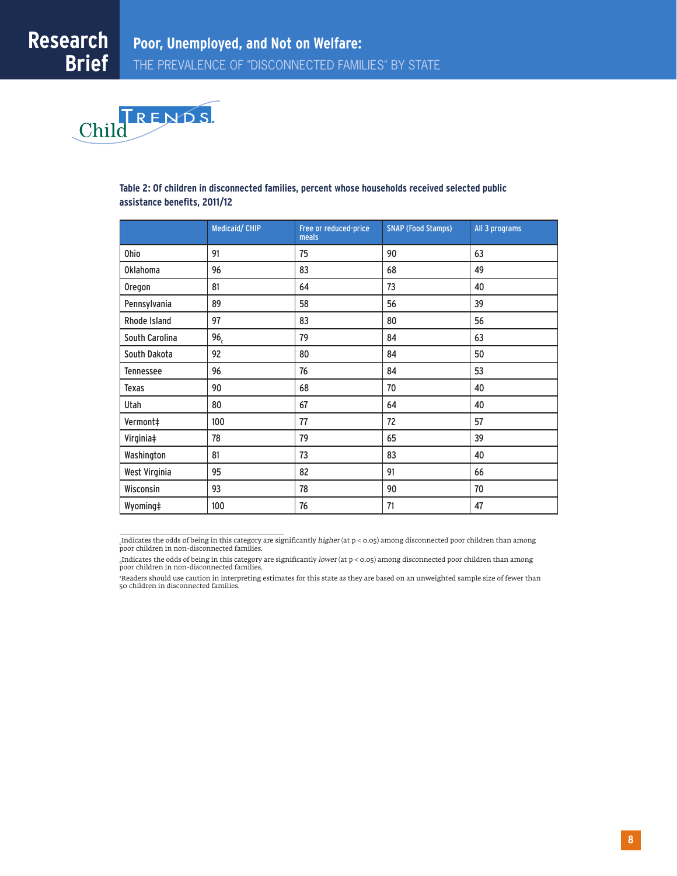

#### **Table 2: Of children in disconnected families, percent whose households received selected public assistance benefits, 2011/12**

|                  | <b>Medicaid/CHIP</b> | Free or reduced-price<br>meals | <b>SNAP (Food Stamps)</b> | All 3 programs |
|------------------|----------------------|--------------------------------|---------------------------|----------------|
| <b>Ohio</b>      | 91                   | 75                             | 90                        | 63             |
| <b>Oklahoma</b>  | 96                   | 83                             | 68                        | 49             |
| Oregon           | 81                   | 64                             | 73                        | 40             |
| Pennsylvania     | 89                   | 58                             | 56                        | 39             |
| Rhode Island     | 97                   | 83                             | 80                        | 56             |
| South Carolina   | 96 <sub>c</sub>      | 79                             | 84                        | 63             |
| South Dakota     | 92                   | 80                             | 84                        | 50             |
| <b>Tennessee</b> | 96                   | 76                             | 84                        | 53             |
| Texas            | 90                   | 68                             | 70                        | 40             |
| Utah             | 80                   | 67                             | 64                        | 40             |
| Vermont‡         | 100                  | 77                             | 72                        | 57             |
| Virginia‡        | 78                   | 79                             | 65                        | 39             |
| Washington       | 81                   | 73                             | 83                        | 40             |
| West Virginia    | 95                   | 82                             | 91                        | 66             |
| Wisconsin        | 93                   | 78                             | 90                        | 70             |
| Wyoming‡         | 100                  | 76                             | 71                        | 47             |

c Indicates the odds of being in this category are significantly higher (at p < 0.05) among disconnected poor children than among poor children in non-disconnected families.

‡ Readers should use caution in interpreting estimates for this state as they are based on an unweighted sample size of fewer than 50 children in disconnected families.

<sup>&</sup>lt;sub>a</sub>Indicates the odds of being in this category are significantly *lower* (at p < 0.05) among disconnected poor children than among<br>poor children in non-disconnected families.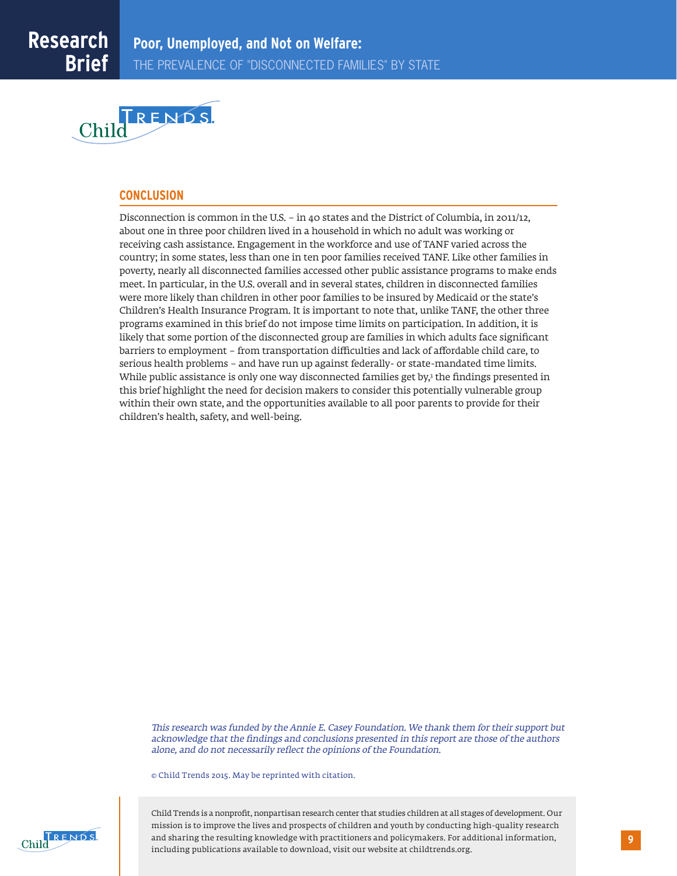

#### **CONCLUSION**

Disconnection is common in the U.S. – in 40 states and the District of Columbia, in 2011/12, about one in three poor children lived in a household in which no adult was working or receiving cash assistance. Engagement in the workforce and use of TANF varied across the country; in some states, less than one in ten poor families received TANF. Like other families in poverty, nearly all disconnected families accessed other public assistance programs to make ends meet. In particular, in the U.S. overall and in several states, children in disconnected families were more likely than children in other poor families to be insured by Medicaid or the state's Children's Health Insurance Program. It is important to note that, unlike TANF, the other three programs examined in this brief do not impose time limits on participation. In addition, it is likely that some portion of the disconnected group are families in which adults face significant barriers to employment – from transportation difficulties and lack of affordable child care, to serious health problems – and have run up against federally- or state-mandated time limits. While public assistance is only one way disconnected families get by,3 the findings presented in this brief highlight the need for decision makers to consider this potentially vulnerable group within their own state, and the opportunities available to all poor parents to provide for their children's health, safety, and well-being.

This research was funded by the Annie E. Casey Foundation. We thank them for their support but acknowledge that the findings and conclusions presented in this report are those of the authors alone, and do not necessarily reflect the opinions of the Foundation.

© Child Trends 2015. May be reprinted with citation.



Child Trends is a nonprofit, nonpartisan research center that studies children at all stages of development. Our mission is to improve the lives and prospects of children and youth by conducting high-quality research and sharing the resulting knowledge with practitioners and policymakers. For additional information, including publications available to download, visit our website at childtrends.org.